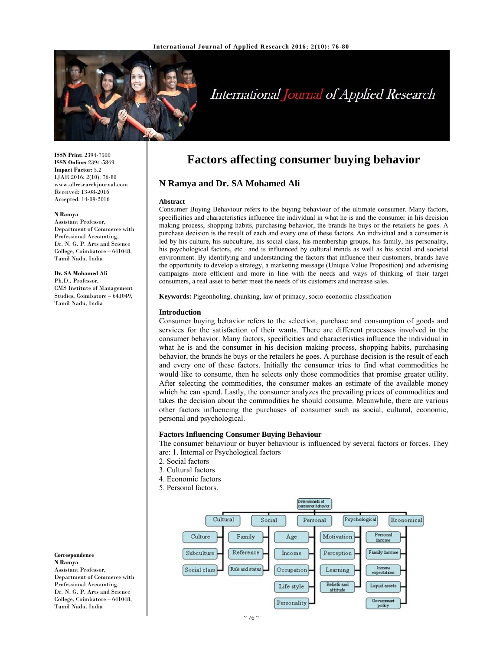

# International Journal of Applied Research

**ISSN Print:** 2394-7500 **ISSN Online:** 2394-5869 **Impact Factor:** 5.2 IJAR 2016; 2(10): 76-80 www.allresearchjournal.com Received: 13-08-2016 Accepted: 14-09-2016

#### **N Ramya**

Assistant Professor, Department of Commerce with Professional Accounting, Dr. N. G. P. Arts and Science College, Coimbatore – 641048, Tamil Nadu, India

**Dr. SA Mohamed Ali**  Ph.D., Professor, CMS Institute of Management Studies, Coimbatore – 641049, Tamil Nadu, India

**Correspondence N Ramya** 

Assistant Professor, Department of Commerce with Professional Accounting, Dr. N. G. P. Arts and Science College, Coimbatore – 641048, Tamil Nadu, India

# **Factors affecting consumer buying behavior**

# **N Ramya and Dr. SA Mohamed Ali**

#### **Abstract**

Consumer Buying Behaviour refers to the buying behaviour of the ultimate consumer. Many factors, specificities and characteristics influence the individual in what he is and the consumer in his decision making process, shopping habits, purchasing behavior, the brands he buys or the retailers he goes. A purchase decision is the result of each and every one of these factors. An individual and a consumer is led by his culture, his subculture, his social class, his membership groups, his family, his personality, his psychological factors, etc.. and is influenced by cultural trends as well as his social and societal environment. By identifying and understanding the factors that influence their customers, brands have the opportunity to develop a strategy, a marketing message (Unique Value Proposition) and advertising campaigns more efficient and more in line with the needs and ways of thinking of their target consumers, a real asset to better meet the needs of its customers and increase sales.

**Keywords:** Pigeonholing, chunking, law of primacy, socio-economic classification

#### **Introduction**

Consumer buying behavior refers to the selection, purchase and consumption of goods and services for the satisfaction of their wants. There are different processes involved in the consumer behavior. Many factors, specificities and characteristics influence the individual in what he is and the consumer in his decision making process, shopping habits, purchasing behavior, the brands he buys or the retailers he goes. A purchase decision is the result of each and every one of these factors. Initially the consumer tries to find what commodities he would like to consume, then he selects only those commodities that promise greater utility. After selecting the commodities, the consumer makes an estimate of the available money which he can spend. Lastly, the consumer analyzes the prevailing prices of commodities and takes the decision about the commodities he should consume. Meanwhile, there are various other factors influencing the purchases of consumer such as social, cultural, economic, personal and psychological.

#### **Factors Influencing Consumer Buying Behaviour**

The consumer behaviour or buyer behaviour is influenced by several factors or forces. They are: 1. Internal or Psychological factors

- 2. Social factors
- 3. Cultural factors
- 4. Economic factors
- 5. Personal factors.

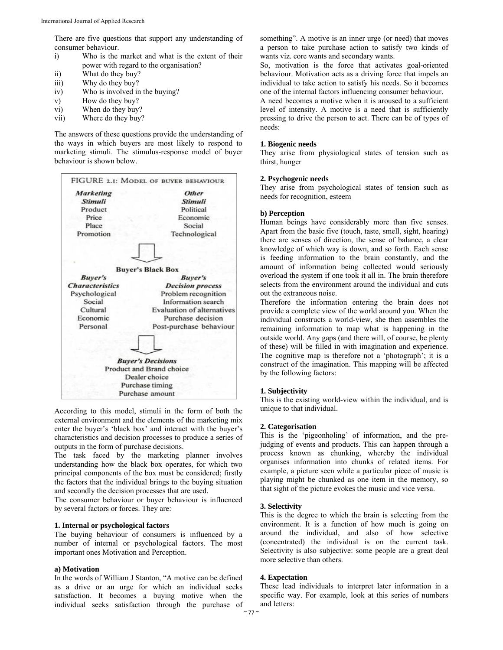There are five questions that support any understanding of consumer behaviour.

- i) Who is the market and what is the extent of their power with regard to the organisation?
- ii) What do they buy?
- iii) Why do they buy?
- iv) Who is involved in the buying?
- v) How do they buy?
- vi) When do they buy?
- vii) Where do they buy?

The answers of these questions provide the understanding of the ways in which buyers are most likely to respond to marketing stimuli. The stimulus-response model of buyer behaviour is shown below.



According to this model, stimuli in the form of both the external environment and the elements of the marketing mix enter the buyer's 'black box' and interact with the buyer's characteristics and decision processes to produce a series of outputs in the form of purchase decisions.

The task faced by the marketing planner involves understanding how the black box operates, for which two principal components of the box must be considered; firstly the factors that the individual brings to the buying situation and secondly the decision processes that are used.

The consumer behaviour or buyer behaviour is influenced by several factors or forces. They are:

# **1. Internal or psychological factors**

The buying behaviour of consumers is influenced by a number of internal or psychological factors. The most important ones Motivation and Perception.

#### **a) Motivation**

In the words of William J Stanton, "A motive can be defined as a drive or an urge for which an individual seeks satisfaction. It becomes a buying motive when the individual seeks satisfaction through the purchase of

something". A motive is an inner urge (or need) that moves a person to take purchase action to satisfy two kinds of wants viz. core wants and secondary wants.

So, motivation is the force that activates goal-oriented behaviour. Motivation acts as a driving force that impels an individual to take action to satisfy his needs. So it becomes one of the internal factors influencing consumer behaviour.

A need becomes a motive when it is aroused to a sufficient level of intensity. A motive is a need that is sufficiently pressing to drive the person to act. There can be of types of needs:

## **1. Biogenic needs**

They arise from physiological states of tension such as thirst, hunger

#### **2. Psychogenic needs**

They arise from psychological states of tension such as needs for recognition, esteem

#### **b) Perception**

Human beings have considerably more than five senses. Apart from the basic five (touch, taste, smell, sight, hearing) there are senses of direction, the sense of balance, a clear knowledge of which way is down, and so forth. Each sense is feeding information to the brain constantly, and the amount of information being collected would seriously overload the system if one took it all in. The brain therefore selects from the environment around the individual and cuts out the extraneous noise.

Therefore the information entering the brain does not provide a complete view of the world around you. When the individual constructs a world-view, she then assembles the remaining information to map what is happening in the outside world. Any gaps (and there will, of course, be plenty of these) will be filled in with imagination and experience. The cognitive map is therefore not a 'photograph'; it is a construct of the imagination. This mapping will be affected by the following factors:

## **1. Subjectivity**

This is the existing world-view within the individual, and is unique to that individual.

#### **2. Categorisation**

This is the 'pigeonholing' of information, and the prejudging of events and products. This can happen through a process known as chunking, whereby the individual organises information into chunks of related items. For example, a picture seen while a particular piece of music is playing might be chunked as one item in the memory, so that sight of the picture evokes the music and vice versa.

#### **3. Selectivity**

This is the degree to which the brain is selecting from the environment. It is a function of how much is going on around the individual, and also of how selective (concentrated) the individual is on the current task. Selectivity is also subjective: some people are a great deal more selective than others.

# **4. Expectation**

These lead individuals to interpret later information in a specific way. For example, look at this series of numbers and letters: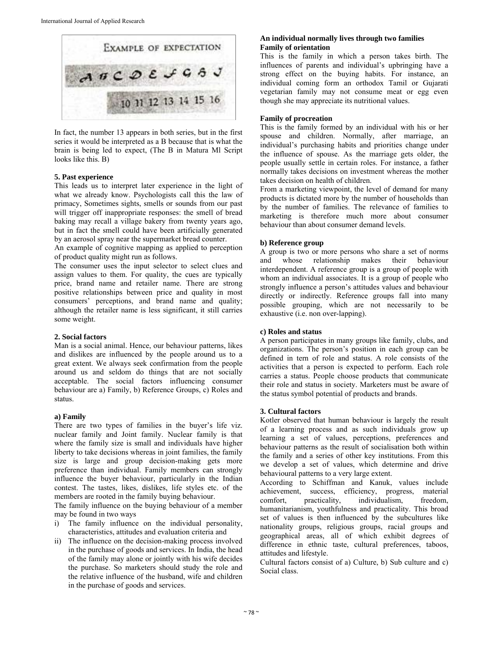

In fact, the number 13 appears in both series, but in the first series it would be interpreted as a В because that is what the brain is being led to expect, (The В in Matura Ml Script looks like this. B)

# **5. Past experience**

This leads us to interpret later experience in the light of what we already know. Psychologists call this the law of primacy, Sometimes sights, smells or sounds from our past will trigger off inappropriate responses: the smell of bread baking may recall a village bakery from twenty years ago, but in fact the smell could have been artificially generated by an aerosol spray near the supermarket bread counter.

An example of cognitive mapping as applied to perception of product quality might run as follows.

The consumer uses the input selector to select clues and assign values to them. For quality, the cues are typically price, brand name and retailer name. There are strong positive relationships between price and quality in most consumers' perceptions, and brand name and quality; although the retailer name is less significant, it still carries some weight.

# **2. Social factors**

Man is a social animal. Hence, our behaviour patterns, likes and dislikes are influenced by the people around us to a great extent. We always seek confirmation from the people around us and seldom do things that are not socially acceptable. The social factors influencing consumer behaviour are a) Family, b) Reference Groups, c) Roles and status.

# **a) Family**

There are two types of families in the buyer's life viz. nuclear family and Joint family. Nuclear family is that where the family size is small and individuals have higher liberty to take decisions whereas in joint families, the family size is large and group decision-making gets more preference than individual. Family members can strongly influence the buyer behaviour, particularly in the Indian contest. The tastes, likes, dislikes, life styles etc. of the members are rooted in the family buying behaviour.

The family influence on the buying behaviour of a member may be found in two ways

- i) The family influence on the individual personality, characteristics, attitudes and evaluation criteria and
- ii) The influence on the decision-making process involved in the purchase of goods and services. In India, the head of the family may alone or jointly with his wife decides the purchase. So marketers should study the role and the relative influence of the husband, wife and children in the purchase of goods and services.

# **An individual normally lives through two families Family of orientation**

This is the family in which a person takes birth. The influences of parents and individual's upbringing have a strong effect on the buying habits. For instance, an individual coming form an orthodox Tamil or Gujarati vegetarian family may not consume meat or egg even though she may appreciate its nutritional values.

## **Family of procreation**

This is the family formed by an individual with his or her spouse and children. Normally, after marriage, an individual's purchasing habits and priorities change under the influence of spouse. As the marriage gets older, the people usually settle in certain roles. For instance, a father normally takes decisions on investment whereas the mother takes decision on health of children.

From a marketing viewpoint, the level of demand for many products is dictated more by the number of households than by the number of families. The relevance of families to marketing is therefore much more about consumer behaviour than about consumer demand levels.

# **b) Reference group**

A group is two or more persons who share a set of norms and whose relationship makes their behaviour interdependent. A reference group is a group of people with whom an individual associates. It is a group of people who strongly influence a person's attitudes values and behaviour directly or indirectly. Reference groups fall into many possible grouping, which are not necessarily to be exhaustive (i.e. non over-lapping).

# **c) Roles and status**

A person participates in many groups like family, clubs, and organizations. The person's position in each group can be defined in tern of role and status. A role consists of the activities that a person is expected to perform. Each role carries a status. People choose products that communicate their role and status in society. Marketers must be aware of the status symbol potential of products and brands.

# **3. Cultural factors**

Kotler observed that human behaviour is largely the result of a learning process and as such individuals grow up learning a set of values, perceptions, preferences and behaviour patterns as the result of socialisation both within the family and a series of other key institutions. From this we develop a set of values, which determine and drive behavioural patterns to a very large extent.

According to Schiffman and Kanuk, values include achievement, success, efficiency, progress, material comfort, practicality, individualism, freedom, humanitarianism, youthfulness and practicality. This broad set of values is then influenced by the subcultures like nationality groups, religious groups, racial groups and geographical areas, all of which exhibit degrees of difference in ethnic taste, cultural preferences, taboos, attitudes and lifestyle.

Cultural factors consist of a) Culture, b) Sub culture and c) Social class.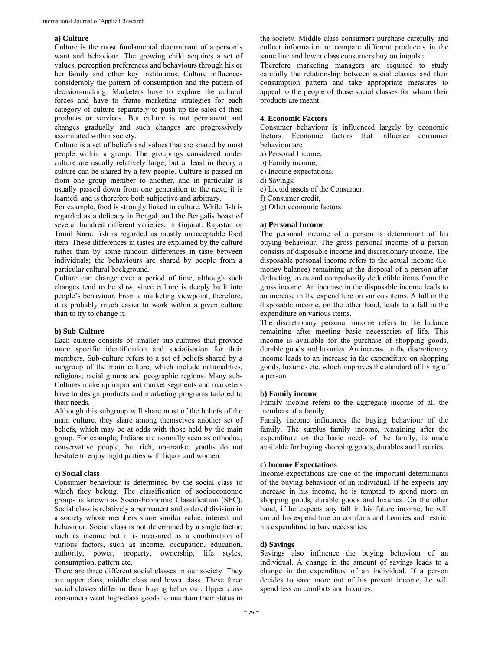# **a) Culture**

Culture is the most fundamental determinant of a person's want and behaviour. The growing child acquires a set of values, perception preferences and behaviours through his or her family and other key institutions. Culture influences considerably the pattern of consumption and the pattern of decision-making. Marketers have to explore the cultural forces and have to frame marketing strategies for each category of culture separately to push up the sales of their products or services. But culture is not permanent and changes gradually and such changes are progressively assimilated within society.

Culture is a set of beliefs and values that are shared by most people within a group. The groupings considered under culture are usually relatively large, but at least in theory a culture can be shared by a few people. Culture is passed on from one group member to another, and in particular is usually passed down from one generation to the next; it is learned, and is therefore both subjective and arbitrary.

For example, food is strongly linked to culture. While fish is regarded as a delicacy in Bengal, and the Bengalis boast of several hundred different varieties, in Gujarat. Rajastan or Tamil Naru, fish is regarded as mostly unacceptable food item. These differences in tastes are explained by the culture rather than by some random differences in taste between individuals; the behaviours are shared by people from a particular cultural background.

Culture can change over a period of time, although such changes tend to be slow, since culture is deeply built into people's behaviour. From a marketing viewpoint, therefore, it is probably much easier to work within a given culture than to try to change it.

# **b) Sub-Culture**

Each culture consists of smaller sub-cultures that provide more specific identification and socialisation for their members. Sub-culture refers to a set of beliefs shared by a subgroup of the main culture, which include nationalities, religions, racial groups and geographic regions. Many sub-Cultures make up important market segments and marketers have to design products and marketing programs tailored to their needs.

Although this subgroup will share most of the beliefs of the main culture, they share among themselves another set of beliefs, which may be at odds with those held by the main group. For example, Indians are normally seen as orthodox, conservative people, but rich, up-market youths do not hesitate to enjoy night parties with liquor and women.

# **c) Social class**

Consumer behaviour is determined by the social class to which they belong. The classification of socioeconomic groups is known as Socio-Economic Classification (SEC). Social class is relatively a permanent and ordered division in a society whose members share similar value, interest and behaviour. Social class is not determined by a single factor, such as income but it is measured as a combination of various factors, such as income, occupation, education, authority, power, property, ownership, life styles, consumption, pattern etc.

There are three different social classes in our society. They are upper class, middle class and lower class. These three social classes differ in their buying behaviour. Upper class consumers want high-class goods to maintain their status in

the society. Middle class consumers purchase carefully and collect information to compare different producers in the same line and lower class consumers buy on impulse.

Therefore marketing managers are required to study carefully the relationship between social classes and their consumption pattern and take appropriate measures to appeal to the people of those social classes for whom their products are meant.

#### **4. Economic Factors**

Consumer behaviour is influenced largely by economic factors. Economic factors that influence consumer behaviour are

- a) Personal Income,
- b) Family income,
- c) Income expectations,
- d) Savings,
- e) Liquid assets of the Consumer,

f) Consumer credit,

g) Other economic factors.

# **a) Personal Income**

The personal income of a person is determinant of his buying behaviour. The gross personal income of a person consists of disposable income and discretionary income. The disposable personal income refers to the actual income (i.e. money balance) remaining at the disposal of a person after deducting taxes and compulsorily deductible items from the gross income. An increase in the disposable income leads to an increase in the expenditure on various items. A fall in the disposable income, on the other hand, leads to a fall in the expenditure on various items.

The discretionary personal income refers to the balance remaining after meeting basic necessaries of life. This income is available for the purchase of shopping goods, durable goods and luxuries. An increase in the discretionary income leads to an increase in the expenditure on shopping goods, luxuries etc. which improves the standard of living of a person.

#### **b) Family income**

Family income refers to the aggregate income of all the members of a family.

Family income influences the buying behaviour of the family. The surplus family income, remaining after the expenditure on the basic needs of the family, is made available for buying shopping goods, durables and luxuries.

# **c) Income Expectations**

Income expectations are one of the important determinants of the buying behaviour of an individual. If he expects any increase in his income, he is tempted to spend more on shopping goods, durable goods and luxuries. On the other hand, if he expects any fall in his future income, he will curtail his expenditure on comforts and luxuries and restrict his expenditure to bare necessities.

## **d) Savings**

Savings also influence the buying behaviour of an individual. A change in the amount of savings leads to a change in the expenditure of an individual. If a person decides to save more out of his present income, he will spend less on comforts and luxuries.